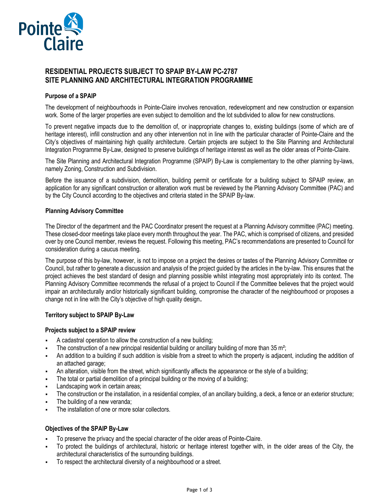

# **RESIDENTIAL PROJECTS SUBJECT TO SPAIP BY-LAW PC-2787 SITE PLANNING AND ARCHITECTURAL INTEGRATION PROGRAMME**

# **Purpose of a SPAIP**

The development of neighbourhoods in Pointe-Claire involves renovation, redevelopment and new construction or expansion work. Some of the larger properties are even subject to demolition and the lot subdivided to allow for new constructions.

To prevent negative impacts due to the demolition of, or inappropriate changes to, existing buildings (some of which are of heritage interest), infill construction and any other intervention not in line with the particular character of Pointe-Claire and the City's objectives of maintaining high quality architecture. Certain projects are subject to the Site Planning and Architectural Integration Programme By-Law, designed to preserve buildings of heritage interest as well as the older areas of Pointe-Claire.

The Site Planning and Architectural Integration Programme (SPAIP) By-Law is complementary to the other planning by-laws, namely Zoning, Construction and Subdivision.

Before the issuance of a subdivision, demolition, building permit or certificate for a building subject to SPAIP review, an application for any significant construction or alteration work must be reviewed by the Planning Advisory Committee (PAC) and by the City Council according to the objectives and criteria stated in the SPAIP By-law.

## **Planning Advisory Committee**

The Director of the department and the PAC Coordinator present the request at a Planning Advisory committee (PAC) meeting. These closed-door meetings take place every month throughout the year. The PAC, which is comprised of citizens, and presided over by one Council member, reviews the request. Following this meeting, PAC's recommendations are presented to Council for consideration during a caucus meeting.

The purpose of this by-law, however, is not to impose on a project the desires or tastes of the Planning Advisory Committee or Council, but rather to generate a discussion and analysis of the project guided by the articles in the by-law. This ensures that the project achieves the best standard of design and planning possible whilst integrating most appropriately into its context. The Planning Advisory Committee recommends the refusal of a project to Council if the Committee believes that the project would impair an architecturally and/or historically significant building, compromise the character of the neighbourhood or proposes a change not in line with the City's objective of high quality design.

## **Territory subject to SPAIP By-Law**

## **Projects subject to a SPAIP review**

- A cadastral operation to allow the construction of a new building;
- The construction of a new principal residential building or ancillary building of more than 35 m<sup>2</sup>;
- An addition to a building if such addition is visible from a street to which the property is adjacent, including the addition of an attached garage;
- An alteration, visible from the street, which significantly affects the appearance or the style of a building;
- The total or partial demolition of a principal building or the moving of a building;
- Landscaping work in certain areas;
- The construction or the installation, in a residential complex, of an ancillary building, a deck, a fence or an exterior structure;
- The building of a new veranda;
- The installation of one or more solar collectors.

## **Objectives of the SPAIP By-Law**

- To preserve the privacy and the special character of the older areas of Pointe-Claire.
- To protect the buildings of architectural, historic or heritage interest together with, in the older areas of the City, the architectural characteristics of the surrounding buildings.
- To respect the architectural diversity of a neighbourhood or a street.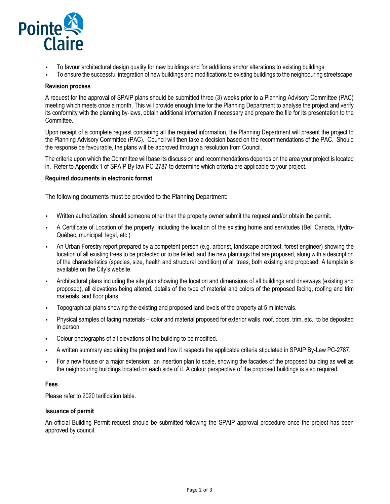

- To favour architectural design quality for new buildings and for additions and/or alterations to existing buildings.
- To ensure the successful integration of new buildings and modifications to existing buildings to the neighbouring streetscape.

### **Revision process**

A request for the approval of SPAIP plans should be submitted three (3) weeks prior to a Planning Advisory Committee (PAC) meeting which meets once a month. This will provide enough time for the Planning Department to analyse the project and verify its conformity with the planning by-laws, obtain additional information if necessary and prepare the file for its presentation to the Committee.

Upon receipt of a complete request containing all the required information, the Planning Department will present the project to the Planning Advisory Committee (PAC). Council will then take a decision based on the recommendations of the PAC. Should the response be favourable, the plans will be approved through a resolution from Council.

The criteria upon which the Committee will base its discussion and recommendations depends on the area your project is located in. Refer to Appendix 1 of SPAIP By-law PC-2787 to determine which criteria are applicable to your project.

#### **Required documents in electronic format**

The following documents must be provided to the Planning Department:

- Written authorization, should someone other than the property owner submit the request and/or obtain the permit.
- A Certificate of Location of the property, including the location of the existing home and servitudes (Bell Canada, Hydro-Québec, municipal, legal, etc.)
- An Urban Forestry report prepared by a competent person (e.g. arborist, landscape architect, forest engineer) showing the location of all existing trees to be protected or to be felled, and the new plantings that are proposed, along with a description of the characteristics (species, size, health and structural condition) of all trees, both existing and proposed. A template is available on the City's website.
- Architectural plans including the site plan showing the location and dimensions of all buildings and driveways (existing and proposed), all elevations being altered, details of the type of material and colors of the proposed facing, roofing and trim materials, and floor plans.
- Topographical plans showing the existing and proposed land levels of the property at 5 m intervals.
- Physical samples of facing materials color and material proposed for exterior walls, roof, doors, trim, etc., to be deposited in person.
- Colour photographs of all elevations of the building to be modified.
- A written summary explaining the project and how it respects the applicable criteria stipulated in SPAIP By-Law PC-2787.
- For a new house or a major extension: an insertion plan to scale, showing the facades of the proposed building as well as the neighbouring buildings located on each side of it. A colour perspective of the proposed buildings is also required.

#### **Fees**

Please refer to 2020 tarification table.

## **Issuance of permit**

An official Building Permit request should be submitted following the SPAIP approval procedure once the project has been approved by council.